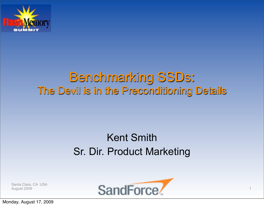

### Benchmarking SSDs: The Devil is in the Preconditioning Details

### Kent Smith Sr. Dir. Product Marketing

Santa Clara, CA USA



Monday, August 17, 2009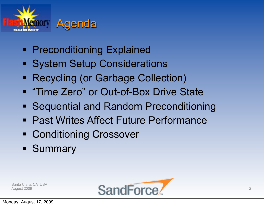

- **Preconditioning Explained**
- **System Setup Considerations**
- Recycling (or Garbage Collection)
- **"Time Zero" or Out-of-Box Drive State**
- Sequential and Random Preconditioning
- Past Writes Affect Future Performance
- **Example 2** Conditioning Crossover
- **Summary**

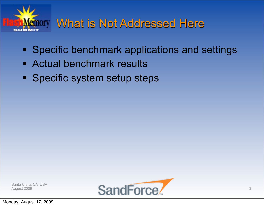

# What is Not Addressed Here

- **Specific benchmark applications and settings**
- **Actual benchmark results**
- **Specific system setup steps**

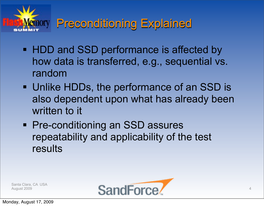

## Preconditioning Explained

- **HDD and SSD performance is affected by** how data is transferred, e.g., sequential vs. random
- Unlike HDDs, the performance of an SSD is also dependent upon what has already been written to it
- **Pre-conditioning an SSD assures** repeatability and applicability of the test results

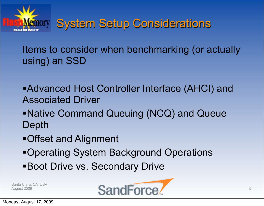

Items to consider when benchmarking (or actually using) an SSD

- Advanced Host Controller Interface (AHCI) and Associated Driver
- Native Command Queuing (NCQ) and Queue Depth
- Offset and Alignment
- Operating System Background Operations
- Boot Drive vs. Secondary Drive

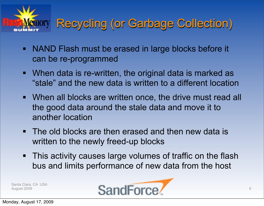

# Recycling (or Garbage Collection)

- NAND Flash must be erased in large blocks before it can be re-programmed
- When data is re-written, the original data is marked as "stale" and the new data is written to a different location
- When all blocks are written once, the drive must read all the good data around the stale data and move it to another location
- **The old blocks are then erased and then new data is** written to the newly freed-up blocks
- **This activity causes large volumes of traffic on the flash** bus and limits performance of new data from the host

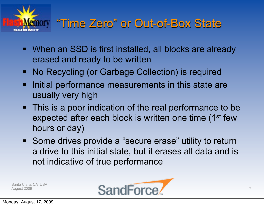

# "Time Zero" or Out-of-Box State

- **When an SSD is first installed, all blocks are already** erased and ready to be written
- No Recycling (or Garbage Collection) is required
- Initial performance measurements in this state are usually very high
- This is a poor indication of the real performance to be expected after each block is written one time (1<sup>st</sup> few hours or day)
- Some drives provide a "secure erase" utility to return a drive to this initial state, but it erases all data and is not indicative of true performance

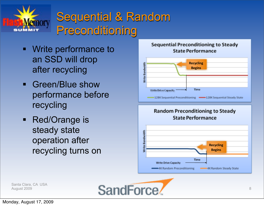

# Sequential & Random Preconditioning

- **Write performance to** an SSD will drop after recycling
- Green/Blue show performance before recycling
- Red/Orange is steady state operation after recycling turns on



#### Sequential Preconditioning to Steady **State Performance**

#### **Random Preconditioning to Steady State Performance**



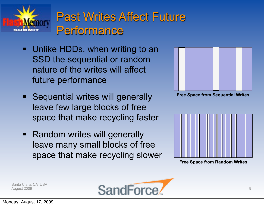

# Past Writes Affect Future Performance

- **Unlike HDDs, when writing to an** SSD the sequential or random nature of the writes will affect future performance
- **Sequential writes will generally** leave few large blocks of free space that make recycling faster
- Random writes will generally leave many small blocks of free space that make recycling slower



**Free Space from Sequential Writes**



**Free Space from Random Writes**

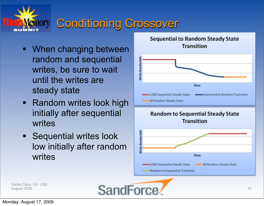

# Conditioning Crossover

- **When changing between** random and sequential writes, be sure to wait until the writes are steady state
- **-** Random writes look high initially after sequential writes
- **Sequential writes look** low initially after random writes



Santa Clara, CA USA August 2009 **SandForce**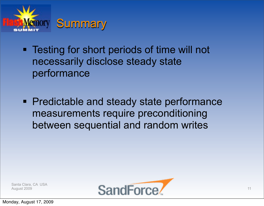

- **Testing for short periods of time will not** necessarily disclose steady state performance
- Predictable and steady state performance measurements require preconditioning between sequential and random writes